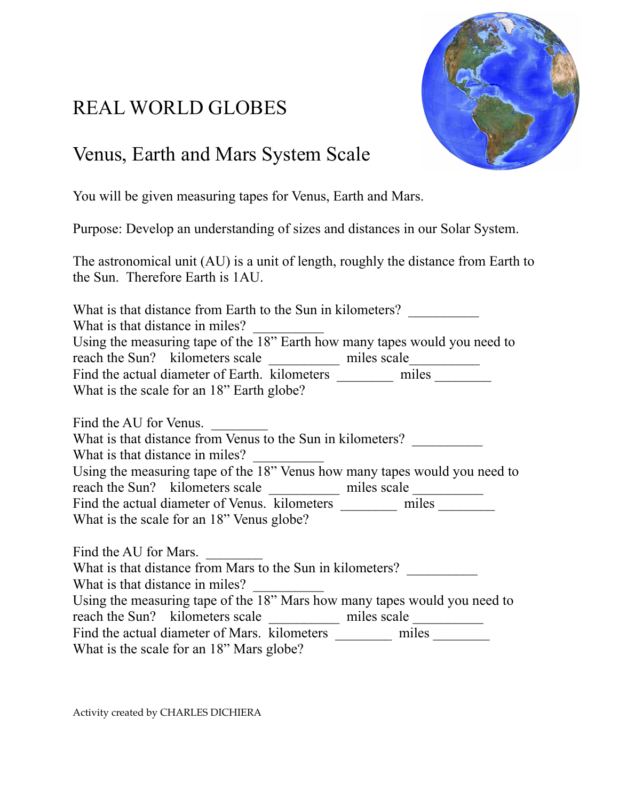# REAL WORLD GLOBES



# Venus, Earth and Mars System Scale

You will be given measuring tapes for Venus, Earth and Mars.

Purpose: Develop an understanding of sizes and distances in our Solar System.

The astronomical unit (AU) is a unit of length, roughly the distance from Earth to the Sun. Therefore Earth is 1AU.

What is that distance from Earth to the Sun in kilometers? What is that distance in miles? Using the measuring tape of the 18" Earth how many tapes would you need to reach the Sun? kilometers scale \_\_\_\_\_\_\_\_\_\_\_\_ miles scale\_\_\_\_\_\_\_\_\_\_\_\_\_\_\_\_\_\_\_\_\_\_\_\_ Find the actual diameter of Earth. kilometers \_\_\_\_\_\_\_\_\_\_\_ miles \_\_\_\_\_\_\_\_\_\_ What is the scale for an 18" Earth globe?

Find the AU for Venus. What is that distance from Venus to the Sun in kilometers? What is that distance in miles? Using the measuring tape of the 18" Venus how many tapes would you need to reach the Sun? kilometers scale \_\_\_\_\_\_\_\_\_\_\_\_\_\_\_\_ miles scale \_\_\_\_\_\_\_\_\_\_\_\_\_\_\_\_\_\_\_ Find the actual diameter of Venus. kilometers \_\_\_\_\_\_\_\_\_ miles What is the scale for an 18" Venus globe?

Find the AU for Mars. What is that distance from Mars to the Sun in kilometers? What is that distance in miles? Using the measuring tape of the 18" Mars how many tapes would you need to reach the Sun? kilometers scale \_\_\_\_\_\_\_\_\_\_ miles scale \_\_\_\_\_\_\_\_\_\_ Find the actual diameter of Mars. kilometers \_\_\_\_\_\_\_\_\_\_\_ miles \_\_\_\_\_\_\_\_\_\_ What is the scale for an 18" Mars globe?

Activity created by CHARLES DICHIERA